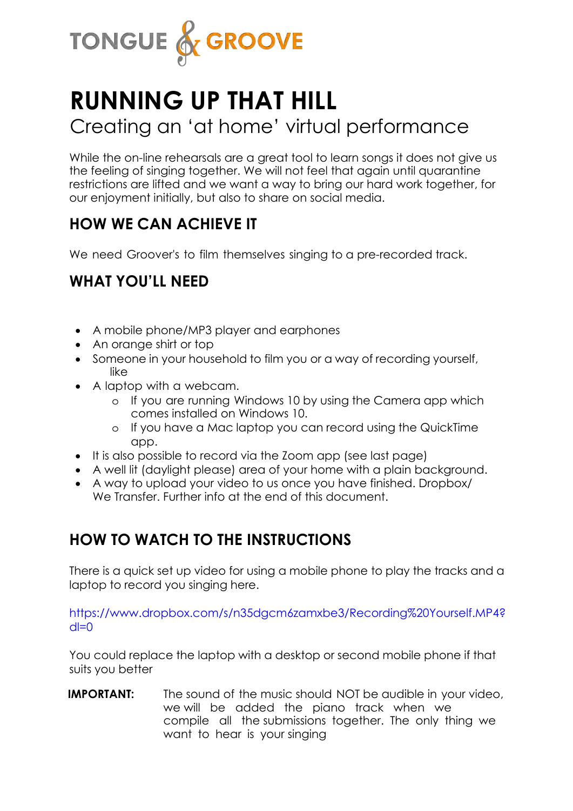

# **RUNNING UP THAT HILL**

# Creating an 'at home' virtual performance

While the on-line rehearsals are a great tool to learn songs it does not give us the feeling of singing together. We will not feel that again until quarantine restrictions are lifted and we want a way to bring our hard work together, for our enjoyment initially, but also to share on social media.

### **HOW WE CAN ACHIEVE IT**

We need Groover's to film themselves singing to a pre-recorded track.

#### **WHAT YOU'LL NEED**

- A mobile phone/MP3 player and earphones
- An orange shirt or top
- Someone in your household to film you or a way of recording yourself, like
- A laptop with a webcam.
	- o If you are running Windows 10 by using the Camera app which comes installed on Windows 10.
	- o If you have a Mac laptop you can record using the QuickTime app.
- It is also possible to record via the Zoom app (see last page)
- A well lit (daylight please) area of your home with a plain background.
- A way to upload your video to us once you have finished. Dropbox/ We Transfer. Further info at the end of this document.

#### **HOW TO WATCH TO THE INSTRUCTIONS**

There is a quick set up video for using a mobile phone to play the tracks and a laptop to record you singing here.

https://www.dropbox.com/s/n35dgcm6zamxbe3/Recording%20Yourself.MP4?  $dl=0$ 

You could replace the laptop with a desktop or second mobile phone if that suits you better

**IMPORTANT:** The sound of the music should NOT be audible in your video, we will be added the piano track when we compile all the submissions together. The only thing we want to hear is your singing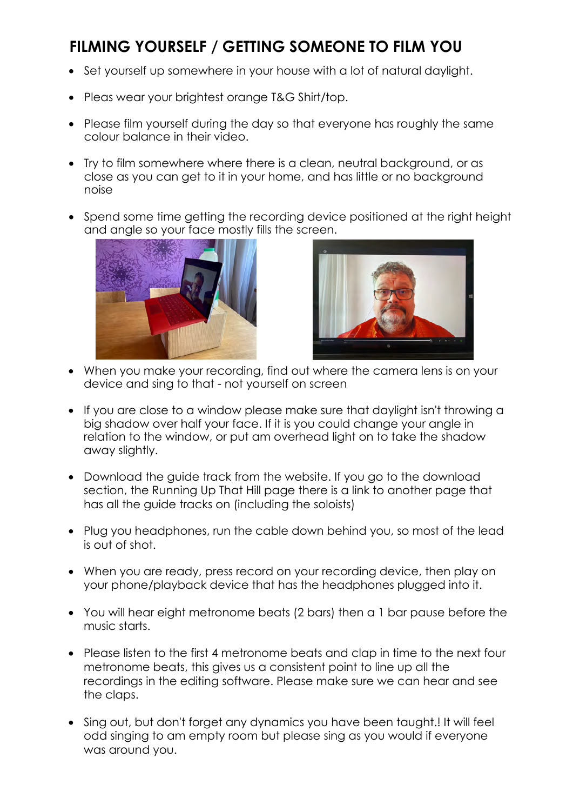# **FILMING YOURSELF / GETTING SOMEONE TO FILM YOU**

- Set yourself up somewhere in your house with a lot of natural daylight.
- Pleas wear your brightest orange T&G Shirt/top.
- Please film yourself during the day so that everyone has roughly the same colour balance in their video.
- Try to film somewhere where there is a clean, neutral background, or as close as you can get to it in your home, and has little or no background noise
- Spend some time getting the recording device positioned at the right height and angle so your face mostly fills the screen.





- When you make your recording, find out where the camera lens is on your device and sing to that - not yourself on screen
- If you are close to a window please make sure that daylight isn't throwing a big shadow over half your face. If it is you could change your angle in relation to the window, or put am overhead light on to take the shadow away slightly.
- Download the guide track from the website. If you go to the download section, the Running Up That Hill page there is a link to another page that has all the guide tracks on (including the soloists)
- Plug you headphones, run the cable down behind you, so most of the lead is out of shot.
- When you are ready, press record on your recording device, then play on your phone/playback device that has the headphones plugged into it.
- You will hear eight metronome beats (2 bars) then a 1 bar pause before the music starts.
- Please listen to the first 4 metronome beats and clap in time to the next four metronome beats, this gives us a consistent point to line up all the recordings in the editing software. Please make sure we can hear and see the claps.
- Sing out, but don't forget any dynamics you have been taught. It will feel odd singing to am empty room but please sing as you would if everyone was around you.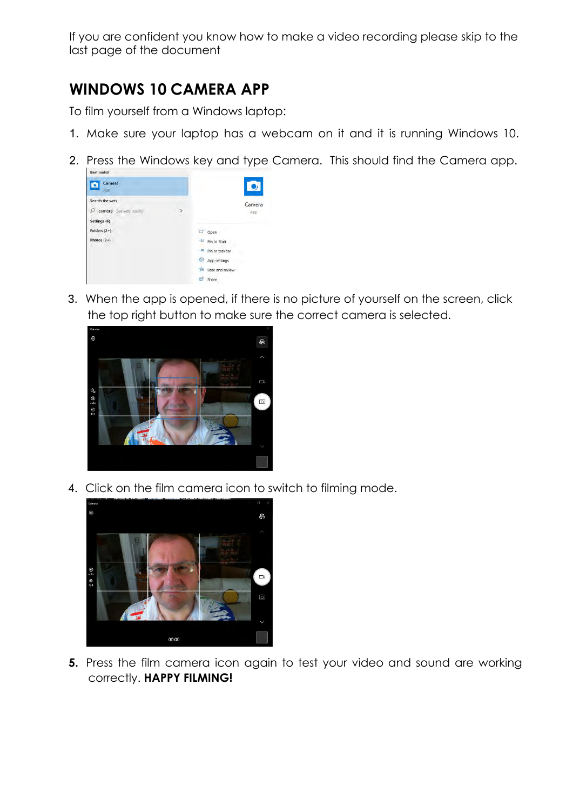If you are confident you know how to make a video recording please skip to the last page of the document

## **WINDOWS 10 CAMERA APP**

To film yourself from a Windows laptop:

- 1. Make sure your laptop has a webcam on it and it is running Windows 10.
- 2. Press the Windows key and type Camera. This should find the Camera app.

| Camera<br>App                 |   |                       | Ō      |
|-------------------------------|---|-----------------------|--------|
| Search the web                |   |                       | Camera |
| Ω<br>camera - See web results | 5 |                       | App    |
| Settings (6)                  |   |                       | $\sim$ |
| Folders $(2+)$                |   | Open                  |        |
| Photos $(3+)$                 |   | Ė<br>Pin to Start     |        |
|                               |   | -13<br>Pin to taskbar |        |
|                               |   | SO3<br>App settings   |        |
|                               |   | 亡<br>Rate and review  |        |
|                               |   | 田<br>Share            |        |

3. When the app is opened, if there is no picture of yourself on the screen, click the top right button to make sure the correct camera is selected.



4. Click on the film camera icon to switch to filming mode.



**5.** Press the film camera icon again to test your video and sound are working correctly. **HAPPY FILMING!**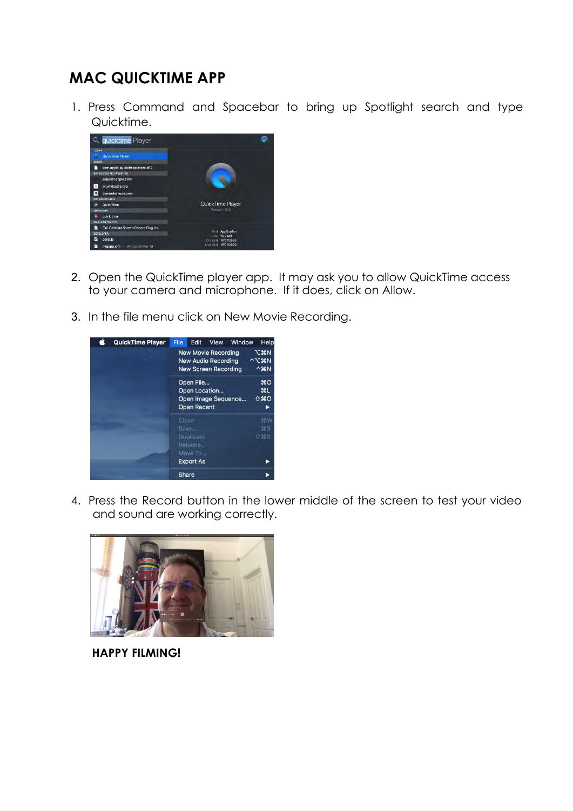## **MAC QUICKTIME APP**

1. Press Command and Spacebar to bring up Spotlight search and type Quicktime.



- 2. Open the QuickTime player app. It may ask you to allow QuickTime access to your camera and microphone. If it does, click on Allow.
- 3. In the file menu click on New Movie Recording.



4. Press the Record button in the lower middle of the screen to test your video and sound are working correctly.



**HAPPY FILMING!**